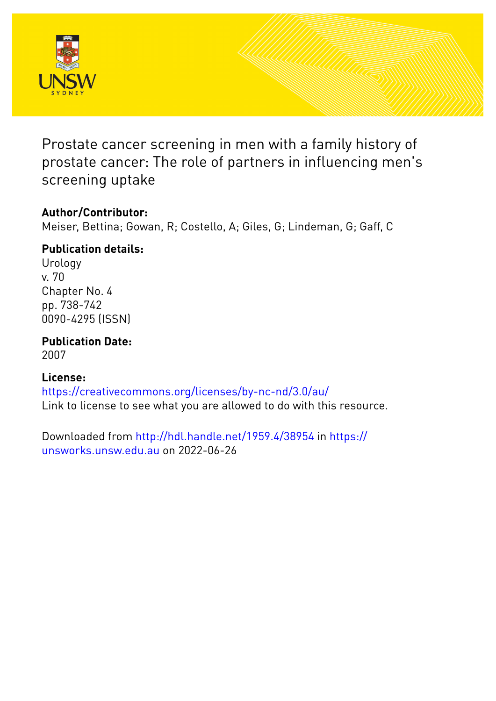

Prostate cancer screening in men with a family history of prostate cancer: The role of partners in influencing men's screening uptake

# **Author/Contributor:**

Meiser, Bettina; Gowan, R; Costello, A; Giles, G; Lindeman, G; Gaff, C

# **Publication details:**

Urology v. 70 Chapter No. 4 pp. 738-742 0090-4295 (ISSN)

**Publication Date:** 2007

# **License:**

<https://creativecommons.org/licenses/by-nc-nd/3.0/au/> Link to license to see what you are allowed to do with this resource.

Downloaded from <http://hdl.handle.net/1959.4/38954> in [https://](https://unsworks.unsw.edu.au) [unsworks.unsw.edu.au](https://unsworks.unsw.edu.au) on 2022-06-26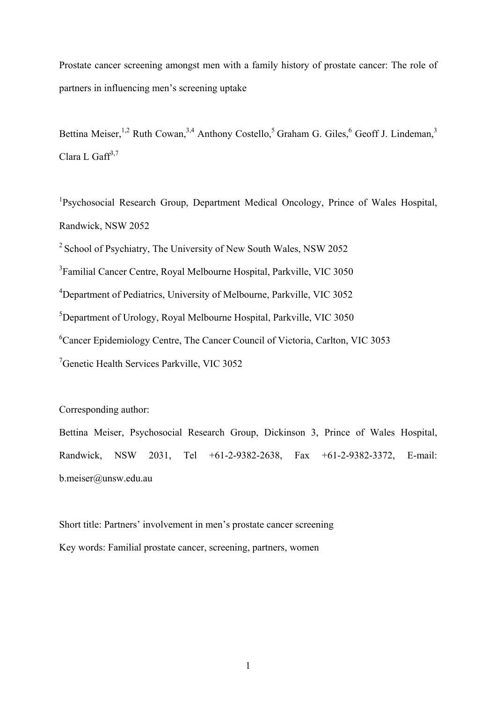Prostate cancer screening amongst men with a family history of prostate cancer: The role of partners in influencing men's screening uptake

Bettina Meiser,<sup>1,2</sup> Ruth Cowan,<sup>3,4</sup> Anthony Costello,<sup>5</sup> Graham G. Giles,<sup>6</sup> Geoff J. Lindeman,<sup>3</sup> Clara L Gaff $3,7$ 

<sup>1</sup>Psychosocial Research Group, Department Medical Oncology, Prince of Wales Hospital, Randwick, NSW 2052

2 School of Psychiatry, The University of New South Wales, NSW 2052

<sup>3</sup> Familial Cancer Centre, Royal Melbourne Hospital, Parkville, VIC 3050

<sup>4</sup>Department of Pediatrics, University of Melbourne, Parkville, VIC 3052

5 Department of Urology, Royal Melbourne Hospital, Parkville, VIC 3050

6 Cancer Epidemiology Centre, The Cancer Council of Victoria, Carlton, VIC 3053

7 Genetic Health Services Parkville, VIC 3052

Corresponding author:

Bettina Meiser, Psychosocial Research Group, Dickinson 3, Prince of Wales Hospital, Randwick, NSW 2031, Tel +61-2-9382-2638, Fax +61-2-9382-3372, E-mail: b.meiser@unsw.edu.au

Short title: Partners' involvement in men's prostate cancer screening Key words: Familial prostate cancer, screening, partners, women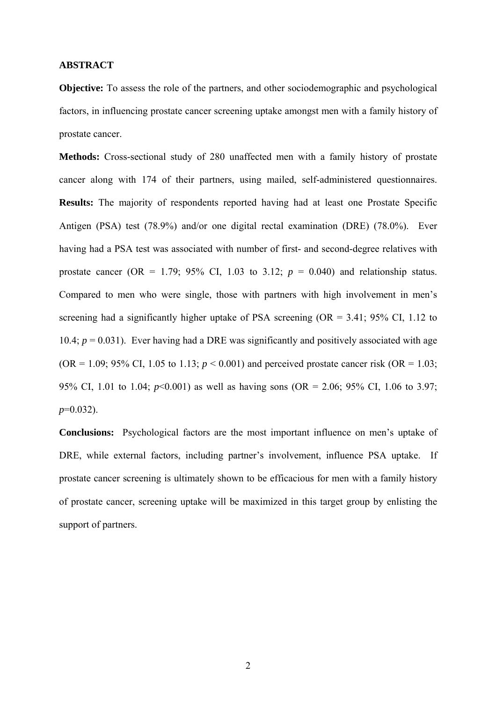# **ABSTRACT**

**Objective:** To assess the role of the partners, and other sociodemographic and psychological factors, in influencing prostate cancer screening uptake amongst men with a family history of prostate cancer.

**Methods:** Cross-sectional study of 280 unaffected men with a family history of prostate cancer along with 174 of their partners, using mailed, self-administered questionnaires. **Results:** The majority of respondents reported having had at least one Prostate Specific Antigen (PSA) test (78.9%) and/or one digital rectal examination (DRE) (78.0%). Ever having had a PSA test was associated with number of first- and second-degree relatives with prostate cancer (OR = 1.79; 95% CI, 1.03 to 3.12;  $p = 0.040$ ) and relationship status. Compared to men who were single, those with partners with high involvement in men's screening had a significantly higher uptake of PSA screening  $(OR = 3.41; 95\% \text{ CI}, 1.12 \text{ to } 1.11)$ 10.4;  $p = 0.031$ ). Ever having had a DRE was significantly and positively associated with age  $(OR = 1.09; 95\% \text{ CI}, 1.05 \text{ to } 1.13; p < 0.001)$  and perceived prostate cancer risk  $(OR = 1.03;$ 95% CI, 1.01 to 1.04; *p*<0.001) as well as having sons (OR = 2.06; 95% CI, 1.06 to 3.97; *p*=0.032).

**Conclusions:** Psychological factors are the most important influence on men's uptake of DRE, while external factors, including partner's involvement, influence PSA uptake. If prostate cancer screening is ultimately shown to be efficacious for men with a family history of prostate cancer, screening uptake will be maximized in this target group by enlisting the support of partners.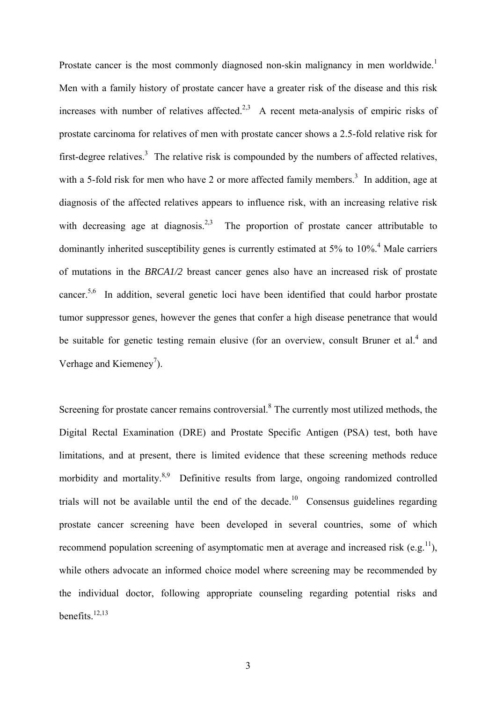Prostate cancer is the most commonly diagnosed non-skin malignancy in men worldwide.<sup>1</sup> Men with a family history of prostate cancer have a greater risk of the disease and this risk increases with number of relatives affected.<sup>2,3</sup> A recent meta-analysis of empiric risks of prostate carcinoma for relatives of men with prostate cancer shows a 2.5-fold relative risk for first-degree relatives.<sup>3</sup> The relative risk is compounded by the numbers of affected relatives, with a 5-fold risk for men who have 2 or more affected family members.<sup>3</sup> In addition, age at diagnosis of the affected relatives appears to influence risk, with an increasing relative risk with decreasing age at diagnosis.<sup>2,3</sup> The proportion of prostate cancer attributable to dominantly inherited susceptibility genes is currently estimated at 5% to 10%.<sup>4</sup> Male carriers of mutations in the *BRCA1/2* breast cancer genes also have an increased risk of prostate cancer.5,6 In addition, several genetic loci have been identified that could harbor prostate tumor suppressor genes, however the genes that confer a high disease penetrance that would be suitable for genetic testing remain elusive (for an overview, consult Bruner et al.<sup>4</sup> and Verhage and Kiemeney<sup>7</sup>).

Screening for prostate cancer remains controversial. $8$  The currently most utilized methods, the Digital Rectal Examination (DRE) and Prostate Specific Antigen (PSA) test, both have limitations, and at present, there is limited evidence that these screening methods reduce morbidity and mortality. $8.9$  Definitive results from large, ongoing randomized controlled trials will not be available until the end of the decade.<sup>10</sup> Consensus guidelines regarding prostate cancer screening have been developed in several countries, some of which recommend population screening of asymptomatic men at average and increased risk (e.g.<sup>11</sup>), while others advocate an informed choice model where screening may be recommended by the individual doctor, following appropriate counseling regarding potential risks and benefits. $12,13$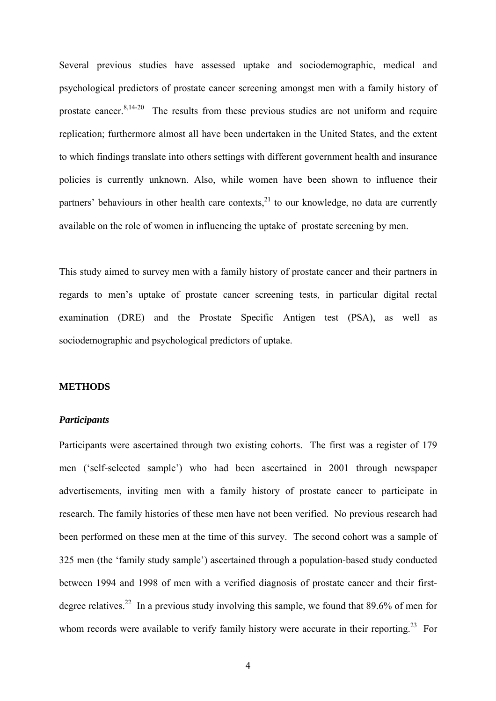Several previous studies have assessed uptake and sociodemographic, medical and psychological predictors of prostate cancer screening amongst men with a family history of prostate cancer. $8,14-20$  The results from these previous studies are not uniform and require replication; furthermore almost all have been undertaken in the United States, and the extent to which findings translate into others settings with different government health and insurance policies is currently unknown. Also, while women have been shown to influence their partners' behaviours in other health care contexts,  $21$  to our knowledge, no data are currently available on the role of women in influencing the uptake of prostate screening by men.

This study aimed to survey men with a family history of prostate cancer and their partners in regards to men's uptake of prostate cancer screening tests, in particular digital rectal examination (DRE) and the Prostate Specific Antigen test (PSA), as well as sociodemographic and psychological predictors of uptake.

## **METHODS**

#### *Participants*

Participants were ascertained through two existing cohorts. The first was a register of 179 men ('self-selected sample') who had been ascertained in 2001 through newspaper advertisements, inviting men with a family history of prostate cancer to participate in research. The family histories of these men have not been verified. No previous research had been performed on these men at the time of this survey. The second cohort was a sample of 325 men (the 'family study sample') ascertained through a population-based study conducted between 1994 and 1998 of men with a verified diagnosis of prostate cancer and their firstdegree relatives.<sup>22</sup> In a previous study involving this sample, we found that 89.6% of men for whom records were available to verify family history were accurate in their reporting.<sup>23</sup> For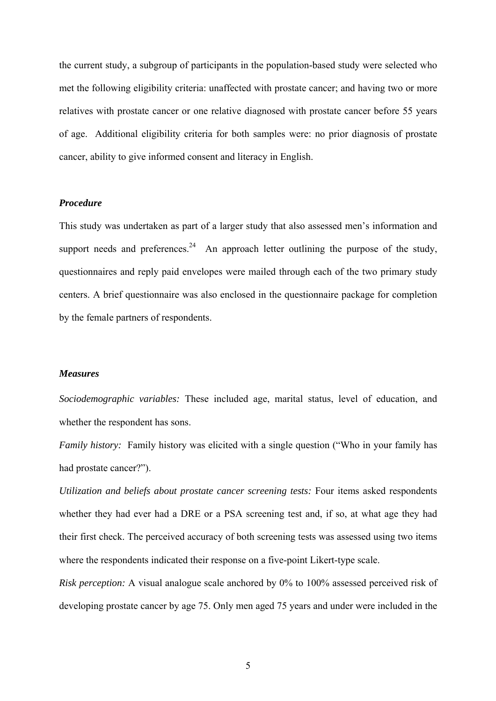the current study, a subgroup of participants in the population-based study were selected who met the following eligibility criteria: unaffected with prostate cancer; and having two or more relatives with prostate cancer or one relative diagnosed with prostate cancer before 55 years of age. Additional eligibility criteria for both samples were: no prior diagnosis of prostate cancer, ability to give informed consent and literacy in English.

#### *Procedure*

This study was undertaken as part of a larger study that also assessed men's information and support needs and preferences. $24$  An approach letter outlining the purpose of the study, questionnaires and reply paid envelopes were mailed through each of the two primary study centers. A brief questionnaire was also enclosed in the questionnaire package for completion by the female partners of respondents.

## *Measures*

*Sociodemographic variables:* These included age, marital status, level of education, and whether the respondent has sons.

*Family history:* Family history was elicited with a single question ("Who in your family has had prostate cancer?").

*Utilization and beliefs about prostate cancer screening tests:* Four items asked respondents whether they had ever had a DRE or a PSA screening test and, if so, at what age they had their first check. The perceived accuracy of both screening tests was assessed using two items where the respondents indicated their response on a five-point Likert-type scale.

*Risk perception:* A visual analogue scale anchored by 0% to 100% assessed perceived risk of developing prostate cancer by age 75. Only men aged 75 years and under were included in the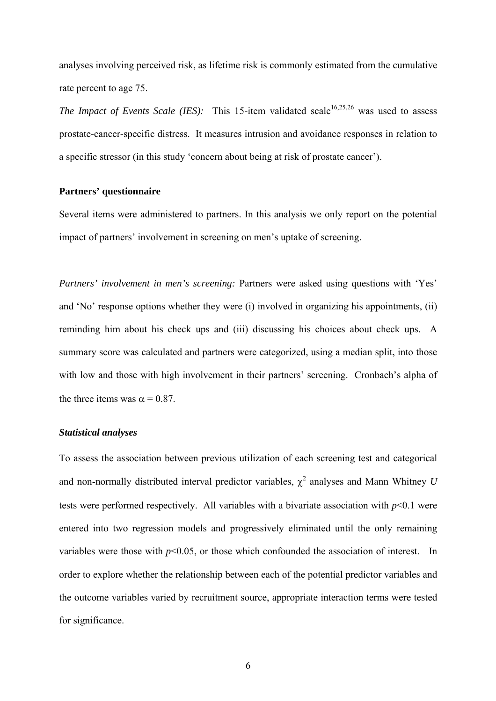analyses involving perceived risk, as lifetime risk is commonly estimated from the cumulative rate percent to age 75.

*The Impact of Events Scale (IES):* This 15-item validated scale<sup>16,25,26</sup> was used to assess prostate-cancer-specific distress. It measures intrusion and avoidance responses in relation to a specific stressor (in this study 'concern about being at risk of prostate cancer').

# **Partners' questionnaire**

Several items were administered to partners. In this analysis we only report on the potential impact of partners' involvement in screening on men's uptake of screening.

*Partners' involvement in men's screening:* Partners were asked using questions with 'Yes' and 'No' response options whether they were (i) involved in organizing his appointments, (ii) reminding him about his check ups and (iii) discussing his choices about check ups. A summary score was calculated and partners were categorized, using a median split, into those with low and those with high involvement in their partners' screening. Cronbach's alpha of the three items was  $\alpha = 0.87$ .

## *Statistical analyses*

To assess the association between previous utilization of each screening test and categorical and non-normally distributed interval predictor variables,  $\chi^2$  analyses and Mann Whitney *U* tests were performed respectively. All variables with a bivariate association with  $p<0.1$  were entered into two regression models and progressively eliminated until the only remaining variables were those with  $p<0.05$ , or those which confounded the association of interest. In order to explore whether the relationship between each of the potential predictor variables and the outcome variables varied by recruitment source, appropriate interaction terms were tested for significance.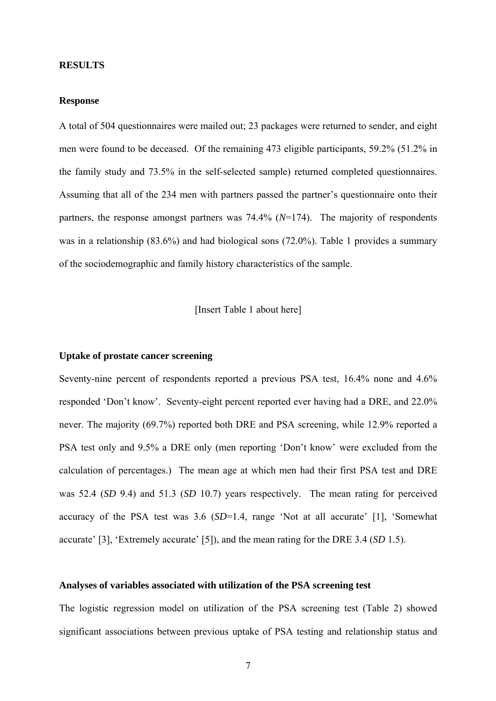#### **RESULTS**

### **Response**

A total of 504 questionnaires were mailed out; 23 packages were returned to sender, and eight men were found to be deceased. Of the remaining 473 eligible participants, 59.2% (51.2% in the family study and 73.5% in the self-selected sample) returned completed questionnaires. Assuming that all of the 234 men with partners passed the partner's questionnaire onto their partners, the response amongst partners was 74.4% (*N*=174). The majority of respondents was in a relationship (83.6%) and had biological sons (72.0%). Table 1 provides a summary of the sociodemographic and family history characteristics of the sample.

[Insert Table 1 about here]

### **Uptake of prostate cancer screening**

Seventy-nine percent of respondents reported a previous PSA test, 16.4% none and 4.6% responded 'Don't know'. Seventy-eight percent reported ever having had a DRE, and 22.0% never. The majority (69.7%) reported both DRE and PSA screening, while 12.9% reported a PSA test only and 9.5% a DRE only (men reporting 'Don't know' were excluded from the calculation of percentages.) The mean age at which men had their first PSA test and DRE was 52.4 (*SD* 9.4) and 51.3 (*SD* 10.7) years respectively. The mean rating for perceived accuracy of the PSA test was 3.6 (*SD*=1.4, range 'Not at all accurate' [1], 'Somewhat accurate' [3], 'Extremely accurate' [5]), and the mean rating for the DRE 3.4 (*SD* 1.5).

#### **Analyses of variables associated with utilization of the PSA screening test**

The logistic regression model on utilization of the PSA screening test (Table 2) showed significant associations between previous uptake of PSA testing and relationship status and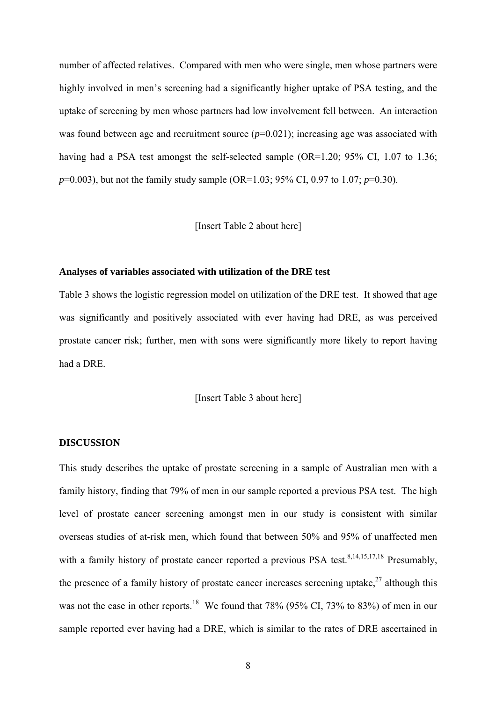number of affected relatives. Compared with men who were single, men whose partners were highly involved in men's screening had a significantly higher uptake of PSA testing, and the uptake of screening by men whose partners had low involvement fell between. An interaction was found between age and recruitment source  $(p=0.021)$ ; increasing age was associated with having had a PSA test amongst the self-selected sample (OR=1.20; 95% CI, 1.07 to 1.36; *p*=0.003), but not the family study sample (OR=1.03; 95% CI, 0.97 to 1.07; *p*=0.30).

# [Insert Table 2 about here]

## **Analyses of variables associated with utilization of the DRE test**

Table 3 shows the logistic regression model on utilization of the DRE test. It showed that age was significantly and positively associated with ever having had DRE, as was perceived prostate cancer risk; further, men with sons were significantly more likely to report having had a DRE.

# [Insert Table 3 about here]

### **DISCUSSION**

This study describes the uptake of prostate screening in a sample of Australian men with a family history, finding that 79% of men in our sample reported a previous PSA test. The high level of prostate cancer screening amongst men in our study is consistent with similar overseas studies of at-risk men, which found that between 50% and 95% of unaffected men with a family history of prostate cancer reported a previous PSA test.<sup>8,14,15,17,18</sup> Presumably, the presence of a family history of prostate cancer increases screening uptake, $27$  although this was not the case in other reports.<sup>18</sup> We found that 78% (95% CI, 73% to 83%) of men in our sample reported ever having had a DRE, which is similar to the rates of DRE ascertained in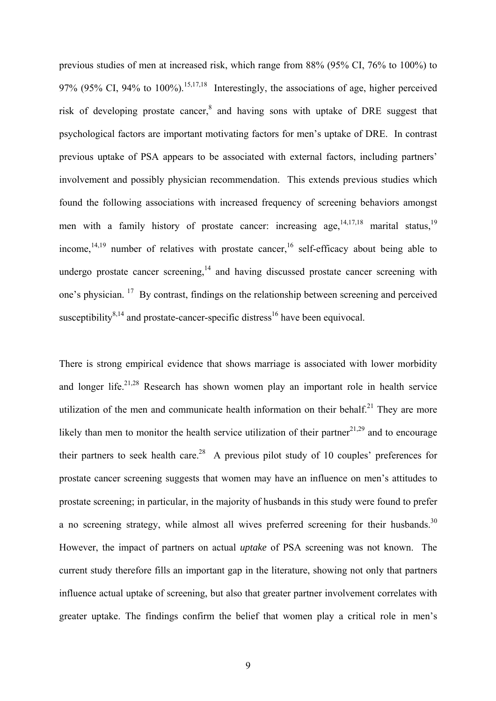previous studies of men at increased risk, which range from 88% (95% CI, 76% to 100%) to 97% (95% CI, 94% to 100%).<sup>15,17,18</sup> Interestingly, the associations of age, higher perceived risk of developing prostate cancer, $^8$  and having sons with uptake of DRE suggest that psychological factors are important motivating factors for men's uptake of DRE. In contrast previous uptake of PSA appears to be associated with external factors, including partners' involvement and possibly physician recommendation. This extends previous studies which found the following associations with increased frequency of screening behaviors amongst men with a family history of prostate cancer: increasing age,  $14,17,18$  marital status,  $19$ income,  $14,19$  number of relatives with prostate cancer,  $16$  self-efficacy about being able to undergo prostate cancer screening,<sup>14</sup> and having discussed prostate cancer screening with one's physician. 17 By contrast, findings on the relationship between screening and perceived susceptibility $8,14$  and prostate-cancer-specific distress<sup>16</sup> have been equivocal.

There is strong empirical evidence that shows marriage is associated with lower morbidity and longer life.<sup>21,28</sup> Research has shown women play an important role in health service utilization of the men and communicate health information on their behalf.<sup>21</sup> They are more likely than men to monitor the health service utilization of their partner $2^{1,29}$  and to encourage their partners to seek health care.<sup>28</sup> A previous pilot study of 10 couples' preferences for prostate cancer screening suggests that women may have an influence on men's attitudes to prostate screening; in particular, in the majority of husbands in this study were found to prefer a no screening strategy, while almost all wives preferred screening for their husbands.<sup>30</sup> However, the impact of partners on actual *uptake* of PSA screening was not known. The current study therefore fills an important gap in the literature, showing not only that partners influence actual uptake of screening, but also that greater partner involvement correlates with greater uptake. The findings confirm the belief that women play a critical role in men's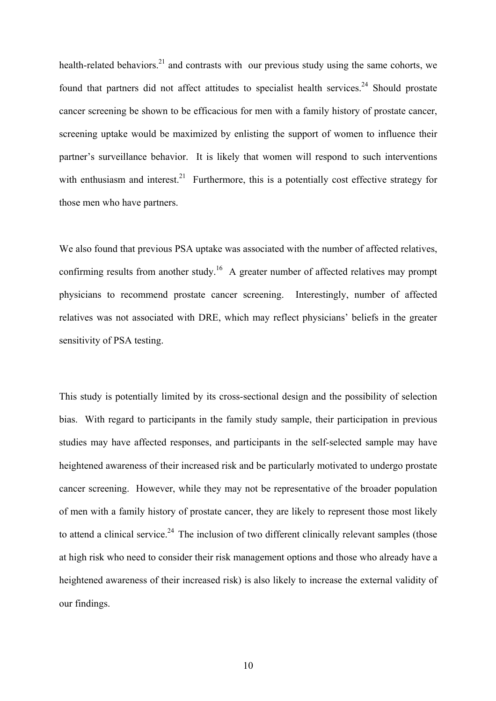health-related behaviors.<sup>21</sup> and contrasts with our previous study using the same cohorts, we found that partners did not affect attitudes to specialist health services.<sup>24</sup> Should prostate cancer screening be shown to be efficacious for men with a family history of prostate cancer, screening uptake would be maximized by enlisting the support of women to influence their partner's surveillance behavior. It is likely that women will respond to such interventions with enthusiasm and interest. $21$  Furthermore, this is a potentially cost effective strategy for those men who have partners.

We also found that previous PSA uptake was associated with the number of affected relatives, confirming results from another study.<sup>16</sup> A greater number of affected relatives may prompt physicians to recommend prostate cancer screening. Interestingly, number of affected relatives was not associated with DRE, which may reflect physicians' beliefs in the greater sensitivity of PSA testing.

This study is potentially limited by its cross-sectional design and the possibility of selection bias. With regard to participants in the family study sample, their participation in previous studies may have affected responses, and participants in the self-selected sample may have heightened awareness of their increased risk and be particularly motivated to undergo prostate cancer screening. However, while they may not be representative of the broader population of men with a family history of prostate cancer, they are likely to represent those most likely to attend a clinical service.<sup>24</sup> The inclusion of two different clinically relevant samples (those at high risk who need to consider their risk management options and those who already have a heightened awareness of their increased risk) is also likely to increase the external validity of our findings.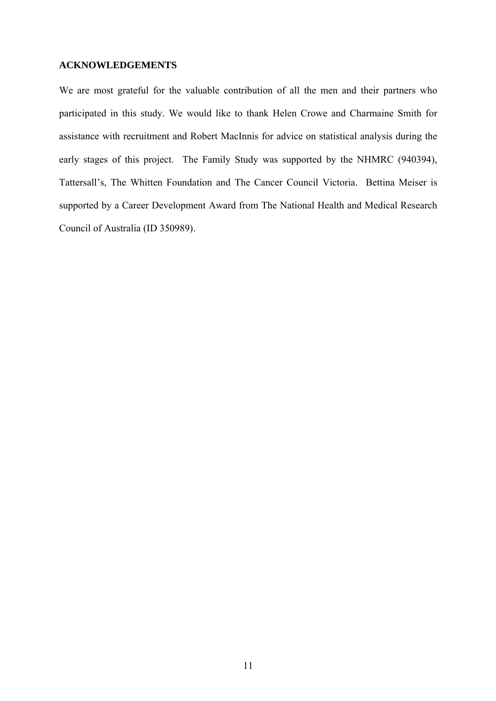## **ACKNOWLEDGEMENTS**

We are most grateful for the valuable contribution of all the men and their partners who participated in this study. We would like to thank Helen Crowe and Charmaine Smith for assistance with recruitment and Robert MacInnis for advice on statistical analysis during the early stages of this project. The Family Study was supported by the NHMRC (940394), Tattersall's, The Whitten Foundation and The Cancer Council Victoria. Bettina Meiser is supported by a Career Development Award from The National Health and Medical Research Council of Australia (ID 350989).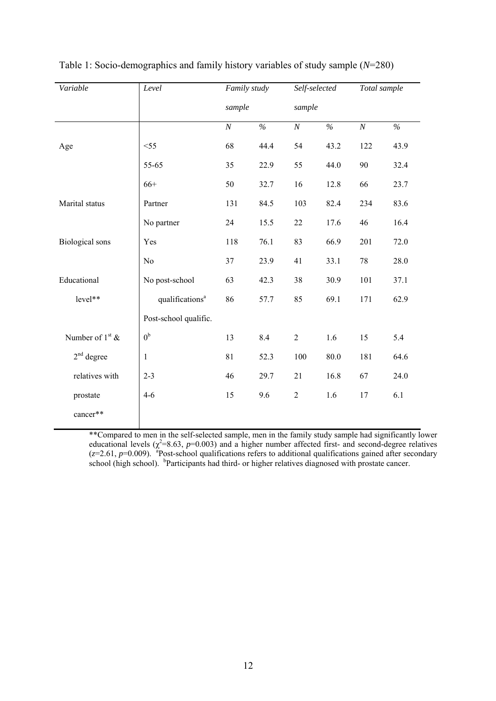| Variable               | Level                       | Family study |      | Self-selected |      | Total sample |      |
|------------------------|-----------------------------|--------------|------|---------------|------|--------------|------|
|                        |                             | sample       |      | sample        |      |              |      |
|                        |                             | $\cal N$     | $\%$ | $\cal N$      | $\%$ | $\cal N$     | $\%$ |
| Age                    | $<$ 55                      | 68           | 44.4 | 54            | 43.2 | 122          | 43.9 |
|                        | 55-65                       | 35           | 22.9 | 55            | 44.0 | 90           | 32.4 |
|                        | $66+$                       | 50           | 32.7 | 16            | 12.8 | 66           | 23.7 |
| Marital status         | Partner                     | 131          | 84.5 | 103           | 82.4 | 234          | 83.6 |
|                        | No partner                  | 24           | 15.5 | 22            | 17.6 | 46           | 16.4 |
| <b>Biological</b> sons | Yes                         | 118          | 76.1 | 83            | 66.9 | 201          | 72.0 |
|                        | N <sub>o</sub>              | 37           | 23.9 | 41            | 33.1 | 78           | 28.0 |
| Educational            | No post-school              | 63           | 42.3 | 38            | 30.9 | 101          | 37.1 |
| level**                | qualifications <sup>a</sup> | 86           | 57.7 | 85            | 69.1 | 171          | 62.9 |
|                        | Post-school qualific.       |              |      |               |      |              |      |
| Number of $1st$ &      | 0 <sup>b</sup>              | 13           | 8.4  | $\sqrt{2}$    | 1.6  | 15           | 5.4  |
| $2nd$ degree           | $\mathbf{1}$                | 81           | 52.3 | 100           | 80.0 | 181          | 64.6 |
| relatives with         | $2 - 3$                     | 46           | 29.7 | 21            | 16.8 | 67           | 24.0 |
| prostate               | $4-6$                       | 15           | 9.6  | $\sqrt{2}$    | 1.6  | 17           | 6.1  |
| cancer**               |                             |              |      |               |      |              |      |

Table 1: Socio-demographics and family history variables of study sample (*N*=280)

\*\*Compared to men in the self-selected sample, men in the family study sample had significantly lower educational levels ( $\chi^2$ =8.63, *p*=0.003) and a higher number affected first- and second-degree relatives  $(z=2.61, p=0.009)$ . <sup>a</sup> Post-school qualifications refers to additional qualifications gained after secondary school (high school). <sup>b</sup>Participants had third- or higher relatives diagnosed with prostate cancer.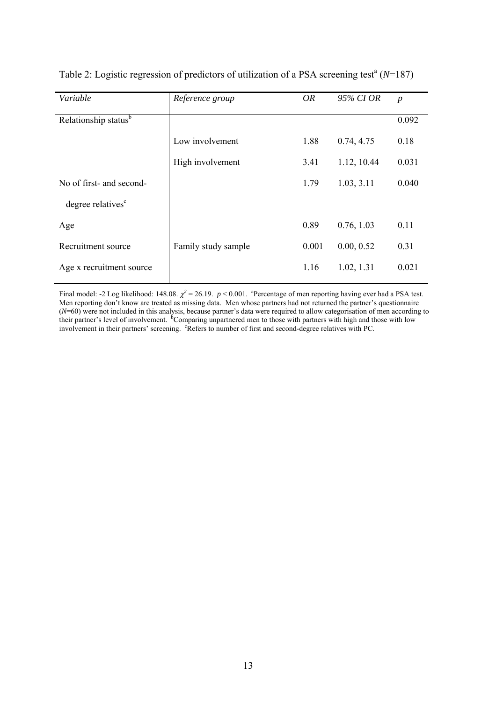| Variable                         | Reference group     | OR    | 95% CI OR   | $\boldsymbol{p}$ |
|----------------------------------|---------------------|-------|-------------|------------------|
| Relationship status <sup>b</sup> |                     |       |             | 0.092            |
|                                  | Low involvement     | 1.88  | 0.74, 4.75  | 0.18             |
|                                  | High involvement    | 3.41  | 1.12, 10.44 | 0.031            |
| No of first- and second-         |                     | 1.79  | 1.03, 3.11  | 0.040            |
| degree relatives <sup>c</sup>    |                     |       |             |                  |
| Age                              |                     | 0.89  | 0.76, 1.03  | 0.11             |
| Recruitment source               | Family study sample | 0.001 | 0.00, 0.52  | 0.31             |
| Age x recruitment source         |                     | 1.16  | 1.02, 1.31  | 0.021            |

Table 2: Logistic regression of predictors of utilization of a PSA screening test<sup>a</sup> ( $N=187$ )

Final model: -2 Log likelihood: 148.08.  $\chi^2 = 26.19$ . *p* < 0.001. <sup>a</sup> Percentage of men reporting having ever had a PSA test. Men reporting don't know are treated as missing data. Men whose partners had not returned the partner's questionnaire (*N*=60) were not included in this analysis, because partner's data were required to allow categorisation of men according to their partner's level of involvement. <sup>5</sup>Comparing unpartnered men to those with partners with high and those with low involvement in their partners' screening. <sup>c</sup>Refers to number of first and second-degree relatives with PC.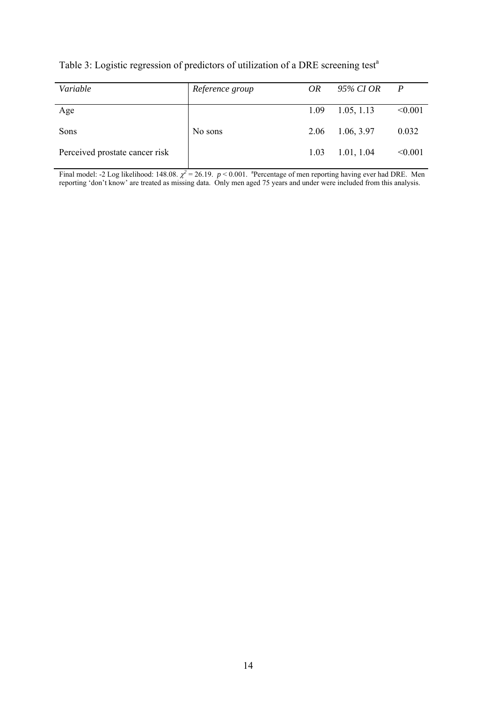| Table 3: Logistic regression of predictors of utilization of a DRE screening test <sup>a</sup> |  |  |  |
|------------------------------------------------------------------------------------------------|--|--|--|
|                                                                                                |  |  |  |
|                                                                                                |  |  |  |
|                                                                                                |  |  |  |

| Variable                       | Reference group | <i>OR</i> | 95% CI OR  | $\mathbf{P}$ |
|--------------------------------|-----------------|-----------|------------|--------------|
| Age                            |                 | 1.09      | 1.05, 1.13 | < 0.001      |
| Sons                           | No sons         | 2.06      | 1.06, 3.97 | 0.032        |
| Perceived prostate cancer risk |                 | 1.03      | 1.01, 1.04 | < 0.001      |

Final model: -2 Log likelihood: 148.08.  $\chi^2$  = 26.19. *p* < 0.001. <sup>a</sup> Percentage of men reporting having ever had DRE. Men reporting 'don't know' are treated as missing data. Only men aged 75 years and under were included from this analysis.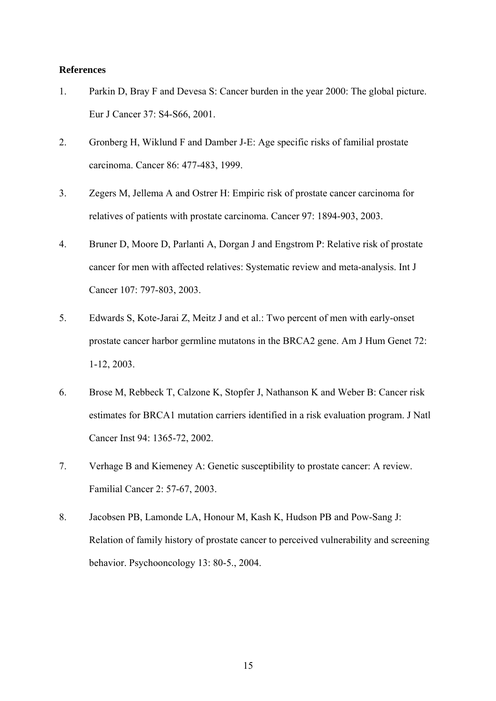# **References**

- 1. Parkin D, Bray F and Devesa S: Cancer burden in the year 2000: The global picture. Eur J Cancer 37: S4-S66, 2001.
- 2. Gronberg H, Wiklund F and Damber J-E: Age specific risks of familial prostate carcinoma. Cancer 86: 477-483, 1999.
- 3. Zegers M, Jellema A and Ostrer H: Empiric risk of prostate cancer carcinoma for relatives of patients with prostate carcinoma. Cancer 97: 1894-903, 2003.
- 4. Bruner D, Moore D, Parlanti A, Dorgan J and Engstrom P: Relative risk of prostate cancer for men with affected relatives: Systematic review and meta-analysis. Int J Cancer 107: 797-803, 2003.
- 5. Edwards S, Kote-Jarai Z, Meitz J and et al.: Two percent of men with early-onset prostate cancer harbor germline mutatons in the BRCA2 gene. Am J Hum Genet 72: 1-12, 2003.
- 6. Brose M, Rebbeck T, Calzone K, Stopfer J, Nathanson K and Weber B: Cancer risk estimates for BRCA1 mutation carriers identified in a risk evaluation program. J Natl Cancer Inst 94: 1365-72, 2002.
- 7. Verhage B and Kiemeney A: Genetic susceptibility to prostate cancer: A review. Familial Cancer 2: 57-67, 2003.
- 8. Jacobsen PB, Lamonde LA, Honour M, Kash K, Hudson PB and Pow-Sang J: Relation of family history of prostate cancer to perceived vulnerability and screening behavior. Psychooncology 13: 80-5., 2004.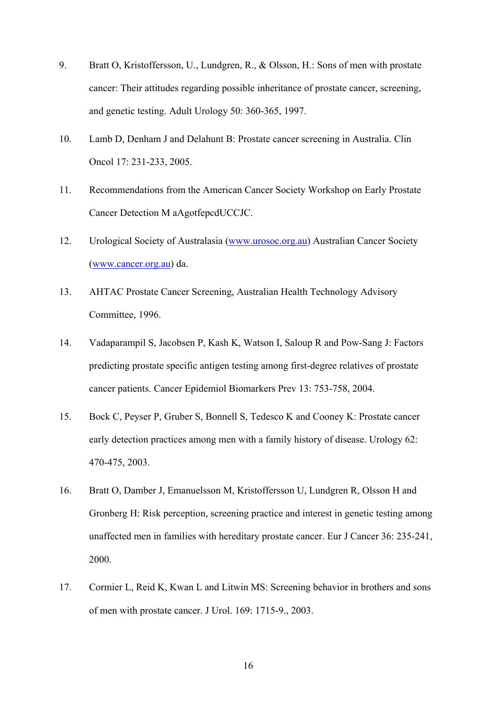- 9. Bratt O, Kristoffersson, U., Lundgren, R., & Olsson, H.: Sons of men with prostate cancer: Their attitudes regarding possible inheritance of prostate cancer, screening, and genetic testing. Adult Urology 50: 360-365, 1997.
- 10. Lamb D, Denham J and Delahunt B: Prostate cancer screening in Australia. Clin Oncol 17: 231-233, 2005.
- 11. Recommendations from the American Cancer Society Workshop on Early Prostate Cancer Detection M aAgotfepcdUCCJC.
- 12. Urological Society of Australasia [\(www.urosoc.org.au\)](http://www.urosoc.org.au/) Australian Cancer Society ([www.cancer.org.au\)](http://www.cancer.org.au/) da.
- 13. AHTAC Prostate Cancer Screening*,* Australian Health Technology Advisory Committee*,* 1996.
- 14. Vadaparampil S, Jacobsen P, Kash K, Watson I, Saloup R and Pow-Sang J: Factors predicting prostate specific antigen testing among first-degree relatives of prostate cancer patients. Cancer Epidemiol Biomarkers Prev 13: 753-758, 2004.
- 15. Bock C, Peyser P, Gruber S, Bonnell S, Tedesco K and Cooney K: Prostate cancer early detection practices among men with a family history of disease. Urology 62: 470-475, 2003.
- 16. Bratt O, Damber J, Emanuelsson M, Kristoffersson U, Lundgren R, Olsson H and Gronberg H: Risk perception, screening practice and interest in genetic testing among unaffected men in families with hereditary prostate cancer. Eur J Cancer 36: 235-241, 2000.
- 17. Cormier L, Reid K, Kwan L and Litwin MS: Screening behavior in brothers and sons of men with prostate cancer. J Urol. 169: 1715-9., 2003.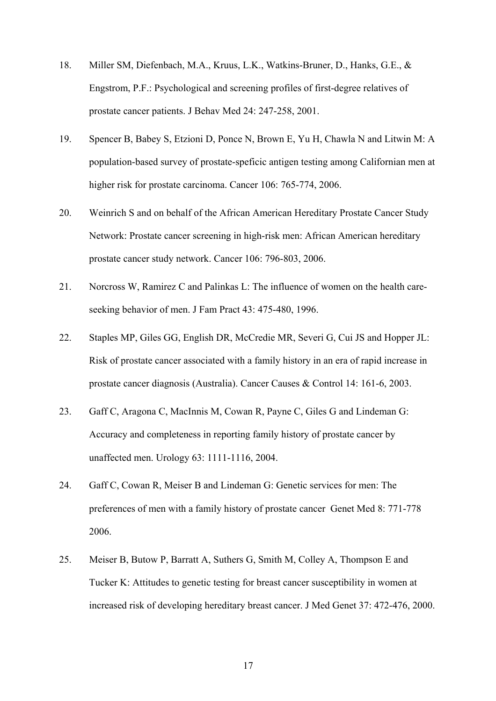- 18. Miller SM, Diefenbach, M.A., Kruus, L.K., Watkins-Bruner, D., Hanks, G.E., & Engstrom, P.F.: Psychological and screening profiles of first-degree relatives of prostate cancer patients. J Behav Med 24: 247-258, 2001.
- 19. Spencer B, Babey S, Etzioni D, Ponce N, Brown E, Yu H, Chawla N and Litwin M: A population-based survey of prostate-speficic antigen testing among Californian men at higher risk for prostate carcinoma. Cancer 106: 765-774, 2006.
- 20. Weinrich S and on behalf of the African American Hereditary Prostate Cancer Study Network: Prostate cancer screening in high-risk men: African American hereditary prostate cancer study network. Cancer 106: 796-803, 2006.
- 21. Norcross W, Ramirez C and Palinkas L: The influence of women on the health careseeking behavior of men. J Fam Pract 43: 475-480, 1996.
- 22. Staples MP, Giles GG, English DR, McCredie MR, Severi G, Cui JS and Hopper JL: Risk of prostate cancer associated with a family history in an era of rapid increase in prostate cancer diagnosis (Australia). Cancer Causes & Control 14: 161-6, 2003.
- 23. Gaff C, Aragona C, MacInnis M, Cowan R, Payne C, Giles G and Lindeman G: Accuracy and completeness in reporting family history of prostate cancer by unaffected men. Urology 63: 1111-1116, 2004.
- 24. Gaff C, Cowan R, Meiser B and Lindeman G: Genetic services for men: The preferences of men with a family history of prostate cancer Genet Med 8: 771-778 2006.
- 25. Meiser B, Butow P, Barratt A, Suthers G, Smith M, Colley A, Thompson E and Tucker K: Attitudes to genetic testing for breast cancer susceptibility in women at increased risk of developing hereditary breast cancer. J Med Genet 37: 472-476, 2000.